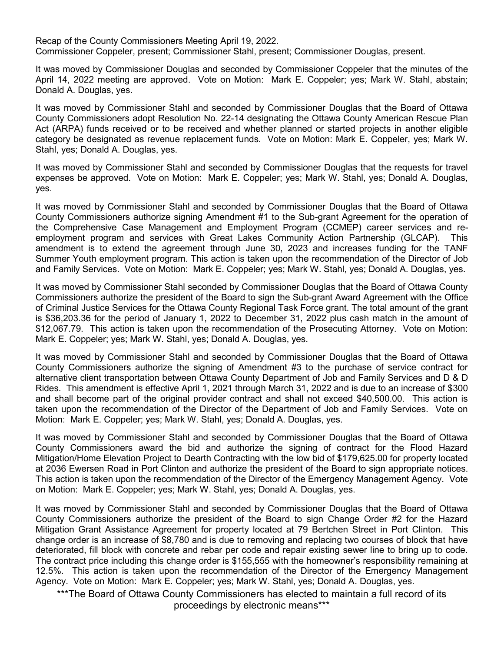Recap of the County Commissioners Meeting April 19, 2022. Commissioner Coppeler, present; Commissioner Stahl, present; Commissioner Douglas, present.

It was moved by Commissioner Douglas and seconded by Commissioner Coppeler that the minutes of the April 14, 2022 meeting are approved. Vote on Motion: Mark E. Coppeler; yes; Mark W. Stahl, abstain; Donald A. Douglas, yes.

It was moved by Commissioner Stahl and seconded by Commissioner Douglas that the Board of Ottawa County Commissioners adopt Resolution No. 22-14 designating the Ottawa County American Rescue Plan Act (ARPA) funds received or to be received and whether planned or started projects in another eligible category be designated as revenue replacement funds. Vote on Motion: Mark E. Coppeler, yes; Mark W. Stahl, yes; Donald A. Douglas, yes.

It was moved by Commissioner Stahl and seconded by Commissioner Douglas that the requests for travel expenses be approved. Vote on Motion: Mark E. Coppeler; yes; Mark W. Stahl, yes; Donald A. Douglas, yes.

It was moved by Commissioner Stahl and seconded by Commissioner Douglas that the Board of Ottawa County Commissioners authorize signing Amendment #1 to the Sub-grant Agreement for the operation of the Comprehensive Case Management and Employment Program (CCMEP) career services and reemployment program and services with Great Lakes Community Action Partnership (GLCAP). This amendment is to extend the agreement through June 30, 2023 and increases funding for the TANF Summer Youth employment program. This action is taken upon the recommendation of the Director of Job and Family Services. Vote on Motion: Mark E. Coppeler; yes; Mark W. Stahl, yes; Donald A. Douglas, yes.

It was moved by Commissioner Stahl seconded by Commissioner Douglas that the Board of Ottawa County Commissioners authorize the president of the Board to sign the Sub-grant Award Agreement with the Office of Criminal Justice Services for the Ottawa County Regional Task Force grant. The total amount of the grant is \$36,203.36 for the period of January 1, 2022 to December 31, 2022 plus cash match in the amount of \$12,067.79. This action is taken upon the recommendation of the Prosecuting Attorney. Vote on Motion: Mark E. Coppeler; yes; Mark W. Stahl, yes; Donald A. Douglas, yes.

It was moved by Commissioner Stahl and seconded by Commissioner Douglas that the Board of Ottawa County Commissioners authorize the signing of Amendment #3 to the purchase of service contract for alternative client transportation between Ottawa County Department of Job and Family Services and D & D Rides. This amendment is effective April 1, 2021 through March 31, 2022 and is due to an increase of \$300 and shall become part of the original provider contract and shall not exceed \$40,500.00. This action is taken upon the recommendation of the Director of the Department of Job and Family Services. Vote on Motion: Mark E. Coppeler; yes; Mark W. Stahl, yes; Donald A. Douglas, yes.

It was moved by Commissioner Stahl and seconded by Commissioner Douglas that the Board of Ottawa County Commissioners award the bid and authorize the signing of contract for the Flood Hazard Mitigation/Home Elevation Project to Dearth Contracting with the low bid of \$179,625.00 for property located at 2036 Ewersen Road in Port Clinton and authorize the president of the Board to sign appropriate notices. This action is taken upon the recommendation of the Director of the Emergency Management Agency. Vote on Motion: Mark E. Coppeler; yes; Mark W. Stahl, yes; Donald A. Douglas, yes.

It was moved by Commissioner Stahl and seconded by Commissioner Douglas that the Board of Ottawa County Commissioners authorize the president of the Board to sign Change Order #2 for the Hazard Mitigation Grant Assistance Agreement for property located at 79 Bertchen Street in Port Clinton. This change order is an increase of \$8,780 and is due to removing and replacing two courses of block that have deteriorated, fill block with concrete and rebar per code and repair existing sewer line to bring up to code. The contract price including this change order is \$155,555 with the homeowner's responsibility remaining at 12.5%. This action is taken upon the recommendation of the Director of the Emergency Management Agency. Vote on Motion: Mark E. Coppeler; yes; Mark W. Stahl, yes; Donald A. Douglas, yes.

\*\*\*The Board of Ottawa County Commissioners has elected to maintain a full record of its proceedings by electronic means\*\*\*